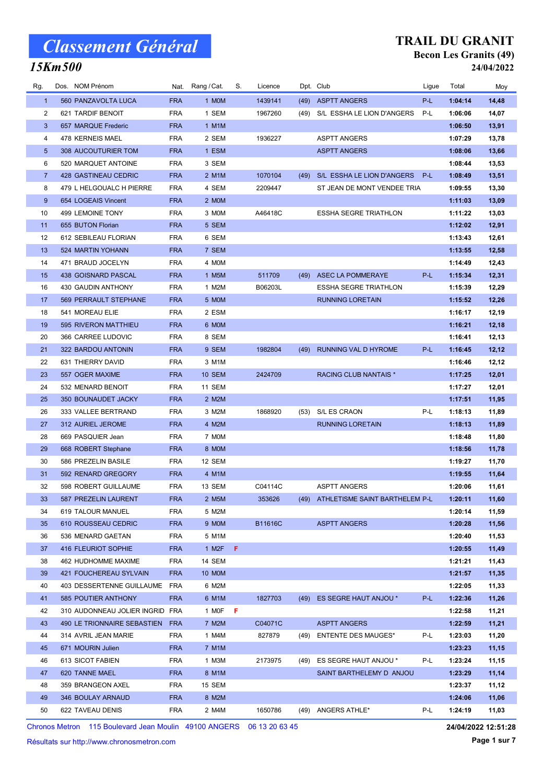### 15Km500

#### TRAIL DU GRANIT Becon Les Granits (49) 24/04/2022

| Rg.            | Dos. NOM Prénom                 |            | Nat. Rang / Cat.   | S. | Licence |      | Dpt. Club                           | Ligue | Total   | Moy   |
|----------------|---------------------------------|------------|--------------------|----|---------|------|-------------------------------------|-------|---------|-------|
| $\mathbf{1}$   | 560 PANZAVOLTA LUCA             | <b>FRA</b> | 1 MOM              |    | 1439141 | (49) | <b>ASPTT ANGERS</b>                 | $P-L$ | 1:04:14 | 14,48 |
| $\overline{2}$ | 621 TARDIF BENOIT               | <b>FRA</b> | 1 SEM              |    | 1967260 | (49) | S/L ESSHA LE LION D'ANGERS          | P-L   | 1:06:06 | 14,07 |
| 3              | 657 MARQUE Frederic             | <b>FRA</b> | 1 M1M              |    |         |      |                                     |       | 1:06:50 | 13,91 |
| 4              | 478 KERNEIS MAEL                | <b>FRA</b> | 2 SEM              |    | 1936227 |      | <b>ASPTT ANGERS</b>                 |       | 1:07:29 | 13,78 |
| 5              | 308 AUCOUTURIER TOM             | <b>FRA</b> | 1 ESM              |    |         |      | <b>ASPTT ANGERS</b>                 |       | 1:08:06 | 13,66 |
| 6              | 520 MARQUET ANTOINE             | <b>FRA</b> | 3 SEM              |    |         |      |                                     |       | 1:08:44 | 13,53 |
| $\overline{7}$ | 428 GASTINEAU CEDRIC            | <b>FRA</b> | 2 M1M              |    | 1070104 | (49) | S/L ESSHA LE LION D'ANGERS          | P-L   | 1:08:49 | 13,51 |
| 8              | 479 L HELGOUALC H PIERRE        | <b>FRA</b> | 4 SEM              |    | 2209447 |      | ST JEAN DE MONT VENDEE TRIA         |       | 1:09:55 | 13,30 |
| 9              | 654 LOGEAIS Vincent             | <b>FRA</b> | 2 MOM              |    |         |      |                                     |       | 1:11:03 | 13,09 |
| 10             | 499 LEMOINE TONY                | <b>FRA</b> | 3 MOM              |    | A46418C |      | <b>ESSHA SEGRE TRIATHLON</b>        |       | 1:11:22 | 13,03 |
| 11             | 655 BUTON Florian               | <b>FRA</b> | 5 SEM              |    |         |      |                                     |       | 1:12:02 | 12,91 |
| 12             | 612 SEBILEAU FLORIAN            | <b>FRA</b> | 6 SEM              |    |         |      |                                     |       | 1:13:43 | 12,61 |
| 13             | 524 MARTIN YOHANN               | <b>FRA</b> | 7 SEM              |    |         |      |                                     |       | 1:13:55 | 12,58 |
| 14             | 471 BRAUD JOCELYN               | <b>FRA</b> | 4 MOM              |    |         |      |                                     |       | 1:14:49 | 12,43 |
| 15             | 438 GOISNARD PASCAL             | <b>FRA</b> | 1 M <sub>5</sub> M |    | 511709  | (49) | <b>ASEC LA POMMERAYE</b>            | P-L   | 1:15:34 | 12,31 |
| 16             | 430 GAUDIN ANTHONY              | <b>FRA</b> | 1 M2M              |    | B06203L |      | <b>ESSHA SEGRE TRIATHLON</b>        |       | 1:15:39 | 12,29 |
| 17             | 569 PERRAULT STEPHANE           | <b>FRA</b> | 5 MOM              |    |         |      | <b>RUNNING LORETAIN</b>             |       | 1:15:52 | 12,26 |
| 18             | 541 MOREAU ELIE                 | <b>FRA</b> | 2 ESM              |    |         |      |                                     |       | 1:16:17 | 12,19 |
| 19             | 595 RIVERON MATTHIEU            | <b>FRA</b> | 6 MOM              |    |         |      |                                     |       | 1:16:21 | 12,18 |
| 20             | 366 CARREE LUDOVIC              | <b>FRA</b> | 8 SEM              |    |         |      |                                     |       | 1:16:41 | 12,13 |
| 21             | 322 BARDOU ANTONIN              | <b>FRA</b> | 9 SEM              |    | 1982804 | (49) | RUNNING VAL D HYROME                | P-L   | 1:16:45 | 12,12 |
| 22             | 631 THIERRY DAVID               | <b>FRA</b> | 3 M1M              |    |         |      |                                     |       | 1:16:46 | 12,12 |
| 23             | 557 OGER MAXIME                 | <b>FRA</b> | <b>10 SEM</b>      |    | 2424709 |      | <b>RACING CLUB NANTAIS*</b>         |       | 1:17:25 | 12,01 |
| 24             | 532 MENARD BENOIT               | <b>FRA</b> | <b>11 SEM</b>      |    |         |      |                                     |       | 1:17:27 | 12,01 |
| 25             | 350 BOUNAUDET JACKY             | <b>FRA</b> | 2 M2M              |    |         |      |                                     |       | 1:17:51 | 11,95 |
| 26             | 333 VALLEE BERTRAND             | <b>FRA</b> | 3 M2M              |    | 1868920 | (53) | S/L ES CRAON                        | P-L   | 1:18:13 | 11,89 |
| 27             | 312 AURIEL JEROME               | <b>FRA</b> | 4 M2M              |    |         |      | <b>RUNNING LORETAIN</b>             |       | 1:18:13 | 11,89 |
| 28             | 669 PASQUIER Jean               | <b>FRA</b> | 7 MOM              |    |         |      |                                     |       | 1:18:48 | 11,80 |
| 29             | 668 ROBERT Stephane             | <b>FRA</b> | 8 MOM              |    |         |      |                                     |       | 1:18:56 | 11,78 |
| 30             | 586 PREZELIN BASILE             | <b>FRA</b> | 12 SEM             |    |         |      |                                     |       | 1:19:27 | 11,70 |
| 31             | 592 RENARD GREGORY              | <b>FRA</b> | 4 M1M              |    |         |      |                                     |       | 1:19:55 | 11,64 |
| 32             | 598 ROBERT GUILLAUME            | <b>FRA</b> | 13 SEM             |    | C04114C |      | <b>ASPTT ANGERS</b>                 |       | 1:20:06 | 11,61 |
| 33             | 587 PREZELIN LAURENT            | <b>FRA</b> | 2 M5M              |    | 353626  |      | (49) ATHLETISME SAINT BARTHELEM P-L |       | 1:20:11 | 11,60 |
| 34             | 619 TALOUR MANUEL               | <b>FRA</b> | 5 M2M              |    |         |      |                                     |       | 1:20:14 | 11,59 |
| 35             | 610 ROUSSEAU CEDRIC             | <b>FRA</b> | 9 MOM              |    | B11616C |      | <b>ASPTT ANGERS</b>                 |       | 1:20:28 | 11,56 |
| 36             | 536 MENARD GAETAN               | <b>FRA</b> | 5 M1M              |    |         |      |                                     |       | 1:20:40 | 11,53 |
| 37             | 416 FLEURIOT SOPHIE             | <b>FRA</b> | 1 M2F $F$          |    |         |      |                                     |       | 1:20:55 | 11,49 |
| 38             | 462 HUDHOMME MAXIME             | <b>FRA</b> | 14 SEM             |    |         |      |                                     |       | 1:21:21 | 11,43 |
| 39             | 421 FOUCHEREAU SYLVAIN          | <b>FRA</b> | 10 MOM             |    |         |      |                                     |       | 1:21:57 | 11,35 |
| 40             | 403 DESSERTENNE GUILLAUME FRA   |            | 6 M2M              |    |         |      |                                     |       | 1:22:05 | 11,33 |
| 41             | 585 POUTIER ANTHONY             | <b>FRA</b> | 6 M1M              |    | 1827703 | (49) | ES SEGRE HAUT ANJOU *               | P-L   | 1:22:36 | 11,26 |
| 42             | 310 AUDONNEAU JOLIER INGRID FRA |            | 1 MOF F            |    |         |      |                                     |       | 1:22:58 | 11,21 |
| 43             | 490 LE TRIONNAIRE SEBASTIEN FRA |            | 7 M2M              |    | C04071C |      | <b>ASPTT ANGERS</b>                 |       | 1:22:59 | 11,21 |
| 44             | 314 AVRIL JEAN MARIE            | FRA        | 1 M4M              |    | 827879  | (49) | <b>ENTENTE DES MAUGES*</b>          | P-L   | 1:23:03 | 11,20 |
| 45             | 671 MOURIN Julien               | <b>FRA</b> | 7 M1M              |    |         |      |                                     |       | 1:23:23 | 11,15 |
| 46             | 613 SICOT FABIEN                | <b>FRA</b> | 1 M3M              |    | 2173975 | (49) | ES SEGRE HAUT ANJOU *               | P-L   | 1:23:24 | 11,15 |
| 47             | 620 TANNE MAEL                  | <b>FRA</b> | 8 M1M              |    |         |      | SAINT BARTHELEMY D ANJOU            |       | 1:23:29 | 11,14 |
| 48             | 359 BRANGEON AXEL               | <b>FRA</b> | 15 SEM             |    |         |      |                                     |       | 1:23:37 | 11,12 |
| 49             | 346 BOULAY ARNAUD               | <b>FRA</b> | 8 M2M              |    |         |      |                                     |       | 1:24:06 | 11,06 |
| 50             | 622 TAVEAU DENIS                | <b>FRA</b> | 2 M4M              |    | 1650786 |      | (49) ANGERS ATHLE*                  | P-L   | 1:24:19 | 11,03 |

Chronos Metron 115 Boulevard Jean Moulin 49100 ANGERS 06 13 20 63 45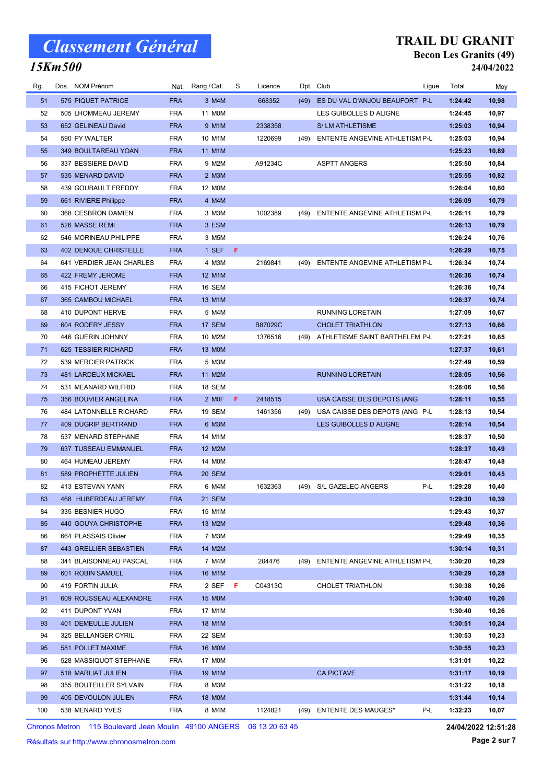### 15Km500

#### TRAIL DU GRANIT Becon Les Granits (49) 24/04/2022

| Rg. | Dos. NOM Prénom            |            | Nat. Rang / Cat. | S. | Licence |      | Dpt. Club                      | Ligue | Total   | Moy   |
|-----|----------------------------|------------|------------------|----|---------|------|--------------------------------|-------|---------|-------|
| 51  | 575 PIQUET PATRICE         | <b>FRA</b> | 3 M4M            |    | 668352  | (49) | ES DU VAL D'ANJOU BEAUFORT P-L |       | 1:24:42 | 10,98 |
| 52  | 505 LHOMMEAU JEREMY        | <b>FRA</b> | 11 M0M           |    |         |      | LES GUIBOLLES D ALIGNE         |       | 1:24:45 | 10,97 |
| 53  | 652 GELINEAU David         | <b>FRA</b> | 9 M1M            |    | 2338358 |      | S/LM ATHLETISME                |       | 1:25:03 | 10,94 |
| 54  | 590 PY WALTER              | <b>FRA</b> | 10 M1M           |    | 1220699 | (49) | ENTENTE ANGEVINE ATHLETISM P-L |       | 1:25:03 | 10,94 |
| 55  | 349 BOULTAREAU YOAN        | <b>FRA</b> | 11 M1M           |    |         |      |                                |       | 1:25:23 | 10,89 |
| 56  | 337 BESSIERE DAVID         | <b>FRA</b> | 9 M2M            |    | A91234C |      | <b>ASPTT ANGERS</b>            |       | 1:25:50 | 10,84 |
| 57  | 535 MENARD DAVID           | <b>FRA</b> | 2 M3M            |    |         |      |                                |       | 1:25:55 | 10,82 |
| 58  | 439 GOUBAULT FREDDY        | <b>FRA</b> | 12 M0M           |    |         |      |                                |       | 1:26:04 | 10,80 |
| 59  | 661 RIVIERE Philippe       | <b>FRA</b> | 4 M4M            |    |         |      |                                |       | 1:26:09 | 10,79 |
| 60  | 368 CESBRON DAMIEN         | <b>FRA</b> | 3 M3M            |    | 1002389 | (49) | ENTENTE ANGEVINE ATHLETISM P-L |       | 1:26:11 | 10,79 |
| 61  | 526 MASSE REMI             | <b>FRA</b> | 3 ESM            |    |         |      |                                |       | 1:26:13 | 10,79 |
| 62  | 546 MORINEAU PHILIPPE      | <b>FRA</b> | 3 M5M            |    |         |      |                                |       | 1:26:24 | 10,76 |
| 63  | 402 DENOUE CHRISTELLE      | <b>FRA</b> | 1 SEF            | F  |         |      |                                |       | 1:26:29 | 10,75 |
| 64  | 641 VERDIER JEAN CHARLES   | <b>FRA</b> | 4 M3M            |    | 2169841 | (49) | ENTENTE ANGEVINE ATHLETISM P-L |       | 1:26:34 | 10,74 |
| 65  | 422 FREMY JEROME           | <b>FRA</b> | 12 M1M           |    |         |      |                                |       | 1:26:36 | 10,74 |
| 66  | 415 FICHOT JEREMY          | <b>FRA</b> | 16 SEM           |    |         |      |                                |       | 1:26:36 | 10,74 |
| 67  | 365 CAMBOU MICHAEL         | <b>FRA</b> | 13 M1M           |    |         |      |                                |       | 1:26:37 | 10,74 |
| 68  | 410 DUPONT HERVE           | <b>FRA</b> | 5 M4M            |    |         |      | <b>RUNNING LORETAIN</b>        |       | 1:27:09 | 10,67 |
| 69  | 604 RODERY JESSY           | <b>FRA</b> | 17 SEM           |    | B87029C |      | <b>CHOLET TRIATHLON</b>        |       | 1:27:13 | 10,66 |
| 70  | 446 GUERIN JOHNNY          | <b>FRA</b> | 10 M2M           |    | 1376516 | (49) | ATHLETISME SAINT BARTHELEM P-L |       | 1:27:21 | 10,65 |
| 71  | 625 TESSIER RICHARD        | <b>FRA</b> | 13 MOM           |    |         |      |                                |       | 1:27:37 | 10,61 |
| 72  | 539 MERCIER PATRICK        | <b>FRA</b> | 5 M3M            |    |         |      |                                |       | 1:27:49 | 10,59 |
| 73  | 481 LARDEUX MICKAEL        | <b>FRA</b> | 11 M2M           |    |         |      | <b>RUNNING LORETAIN</b>        |       | 1:28:05 | 10,56 |
| 74  | 531 MEANARD WILFRID        | <b>FRA</b> | 18 SEM           |    |         |      |                                |       | 1:28:06 | 10,56 |
| 75  | 356 BOUVIER ANGELINA       | <b>FRA</b> | 2 MOF            | F. | 2418515 |      | USA CAISSE DES DEPOTS (ANG     |       | 1:28:11 | 10,55 |
| 76  | 484 LATONNELLE RICHARD     | <b>FRA</b> | 19 SEM           |    | 1461356 | (49) | USA CAISSE DES DEPOTS (ANG P-L |       | 1:28:13 | 10,54 |
| 77  | <b>409 DUGRIP BERTRAND</b> | <b>FRA</b> | 6 M3M            |    |         |      | LES GUIBOLLES D ALIGNE         |       | 1:28:14 | 10,54 |
| 78  | 537 MENARD STEPHANE        | <b>FRA</b> | 14 M1M           |    |         |      |                                |       | 1:28:37 | 10,50 |
| 79  | 637 TUSSEAU EMMANUEL       | <b>FRA</b> | 12 M2M           |    |         |      |                                |       | 1:28:37 | 10,49 |
| 80  | 464 HUMEAU JEREMY          | <b>FRA</b> | 14 M0M           |    |         |      |                                |       | 1:28:47 | 10,48 |
| 81  | 589 PROPHETTE JULIEN       | <b>FRA</b> | 20 SEM           |    |         |      |                                |       | 1:29:01 | 10,45 |
| 82  | 413 ESTEVAN YANN           | FRA        | 6 M4M            |    | 1632363 | (49) | S/L GAZELEC ANGERS             | P-L   | 1:29:28 | 10,40 |
| 83  | 468 HUBERDEAU JEREMY       | <b>FRA</b> | 21 SEM           |    |         |      |                                |       | 1:29:30 | 10,39 |
| 84  | 335 BESNIER HUGO           | <b>FRA</b> | 15 M1M           |    |         |      |                                |       | 1:29:43 | 10,37 |
| 85  | 440 GOUYA CHRISTOPHE       | <b>FRA</b> | 13 M2M           |    |         |      |                                |       | 1:29:48 | 10,36 |
| 86  | 664 PLASSAIS Olivier       | <b>FRA</b> | 7 M3M            |    |         |      |                                |       | 1:29:49 | 10,35 |
| 87  | 443 GRELLIER SEBASTIEN     | <b>FRA</b> | 14 M2M           |    |         |      |                                |       | 1:30:14 | 10,31 |
| 88  | 341 BLAISONNEAU PASCAL     | <b>FRA</b> | 7 M4M            |    | 204476  | (49) | ENTENTE ANGEVINE ATHLETISM P-L |       | 1:30:20 | 10,29 |
| 89  | 601 ROBIN SAMUEL           | <b>FRA</b> | 16 M1M           |    |         |      |                                |       | 1:30:29 | 10,28 |
| 90  | 419 FORTIN JULIA           | <b>FRA</b> | 2 SEFF           |    | C04313C |      | CHOLET TRIATHLON               |       | 1:30:38 | 10,26 |
| 91  | 609 ROUSSEAU ALEXANDRE     | <b>FRA</b> | 15 MOM           |    |         |      |                                |       | 1:30:40 | 10,26 |
| 92  | 411 DUPONT YVAN            | <b>FRA</b> | 17 M1M           |    |         |      |                                |       | 1:30:40 | 10,26 |
| 93  | 401 DEMEULLE JULIEN        | <b>FRA</b> | 18 M1M           |    |         |      |                                |       | 1:30:51 | 10,24 |
| 94  | 325 BELLANGER CYRIL        | <b>FRA</b> | 22 SEM           |    |         |      |                                |       | 1:30:53 | 10,23 |
| 95  | 581 POLLET MAXIME          | <b>FRA</b> | 16 MOM           |    |         |      |                                |       | 1:30:55 | 10,23 |
| 96  | 528 MASSIQUOT STEPHANE     | <b>FRA</b> | 17 M0M           |    |         |      |                                |       | 1:31:01 | 10,22 |
| 97  | 518 MARLIAT JULIEN         | <b>FRA</b> | 19 M1M           |    |         |      | <b>CA PICTAVE</b>              |       | 1:31:17 | 10,19 |
| 98  | 355 BOUTEILLER SYLVAIN     | <b>FRA</b> | 8 M3M            |    |         |      |                                |       | 1:31:22 | 10,18 |
| 99  | 405 DEVOULON JULIEN        | <b>FRA</b> | 18 MOM           |    |         |      |                                |       | 1:31:44 | 10,14 |
| 100 | 538 MENARD YVES            | <b>FRA</b> | 8 M4M            |    | 1124821 |      | (49) ENTENTE DES MAUGES*       | P-L   | 1:32:23 | 10,07 |

Chronos Metron 115 Boulevard Jean Moulin 49100 ANGERS 06 13 20 63 45

24/04/2022 12:51:28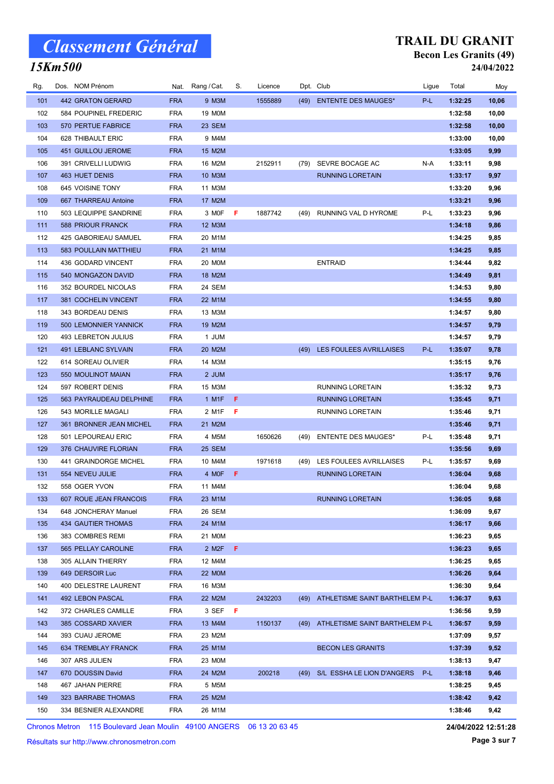### 15Km500

#### TRAIL DU GRANIT Becon Les Granits (49) 24/04/2022

| Rg. | Dos. NOM Prénom           | Nat.       | Rang / Cat.   | S.  | Licence |      | Dpt. Club                      | Ligue | Total   | Moy   |
|-----|---------------------------|------------|---------------|-----|---------|------|--------------------------------|-------|---------|-------|
| 101 | 442 GRATON GERARD         | <b>FRA</b> | 9 M3M         |     | 1555889 | (49) | <b>ENTENTE DES MAUGES*</b>     | P-L   | 1:32:25 | 10,06 |
| 102 | 584 POUPINEL FREDERIC     | <b>FRA</b> | 19 M0M        |     |         |      |                                |       | 1:32:58 | 10,00 |
| 103 | 570 PERTUE FABRICE        | <b>FRA</b> | 23 SEM        |     |         |      |                                |       | 1:32:58 | 10,00 |
| 104 | 628 THIBAULT ERIC         | <b>FRA</b> | 9 M4M         |     |         |      |                                |       | 1:33:00 | 10,00 |
| 105 | 451 GUILLOU JEROME        | <b>FRA</b> | 15 M2M        |     |         |      |                                |       | 1:33:05 | 9,99  |
| 106 | 391 CRIVELLI LUDWIG       | <b>FRA</b> | 16 M2M        |     | 2152911 | (79) | SEVRE BOCAGE AC                | N-A   | 1:33:11 | 9,98  |
| 107 | <b>463 HUET DENIS</b>     | <b>FRA</b> | 10 M3M        |     |         |      | <b>RUNNING LORETAIN</b>        |       | 1:33:17 | 9,97  |
| 108 | 645 VOISINE TONY          | <b>FRA</b> | 11 M3M        |     |         |      |                                |       | 1:33:20 | 9,96  |
| 109 | 667 THARREAU Antoine      | <b>FRA</b> | 17 M2M        |     |         |      |                                |       | 1:33:21 | 9,96  |
| 110 | 503 LEQUIPPE SANDRINE     | <b>FRA</b> | 3 MOF         | F   | 1887742 | (49) | RUNNING VAL D HYROME           | P-L   | 1:33:23 | 9,96  |
| 111 | <b>588 PRIOUR FRANCK</b>  | <b>FRA</b> | 12 M3M        |     |         |      |                                |       | 1:34:18 | 9,86  |
| 112 | 425 GABORIEAU SAMUEL      | <b>FRA</b> | 20 M1M        |     |         |      |                                |       | 1:34:25 | 9,85  |
| 113 | 583 POULLAIN MATTHIEU     | <b>FRA</b> | 21 M1M        |     |         |      |                                |       | 1:34:25 | 9,85  |
| 114 | 436 GODARD VINCENT        | <b>FRA</b> | <b>20 MOM</b> |     |         |      | <b>ENTRAID</b>                 |       | 1:34:44 | 9,82  |
| 115 | 540 MONGAZON DAVID        | <b>FRA</b> | 18 M2M        |     |         |      |                                |       | 1:34:49 | 9,81  |
| 116 | 352 BOURDEL NICOLAS       | <b>FRA</b> | 24 SEM        |     |         |      |                                |       | 1:34:53 | 9,80  |
| 117 | 381 COCHELIN VINCENT      | <b>FRA</b> | 22 M1M        |     |         |      |                                |       | 1:34:55 | 9,80  |
| 118 | 343 BORDEAU DENIS         | <b>FRA</b> | 13 M3M        |     |         |      |                                |       | 1:34:57 | 9,80  |
| 119 | 500 LEMONNIER YANNICK     | <b>FRA</b> | 19 M2M        |     |         |      |                                |       | 1:34:57 | 9,79  |
| 120 | 493 LEBRETON JULIUS       | <b>FRA</b> | 1 JUM         |     |         |      |                                |       | 1:34:57 | 9,79  |
| 121 | 491 LEBLANC SYLVAIN       | <b>FRA</b> | 20 M2M        |     |         | (49) | LES FOULEES AVRILLAISES        | P-L   | 1:35:07 | 9,78  |
| 122 | 614 SOREAU OLIVIER        | <b>FRA</b> | 14 M3M        |     |         |      |                                |       | 1:35:15 | 9,76  |
| 123 | 550 MOULINOT MAIAN        | <b>FRA</b> | 2 JUM         |     |         |      |                                |       | 1:35:17 | 9,76  |
| 124 | 597 ROBERT DENIS          | <b>FRA</b> | 15 M3M        |     |         |      | <b>RUNNING LORETAIN</b>        |       | 1:35:32 | 9,73  |
| 125 | 563 PAYRAUDEAU DELPHINE   | <b>FRA</b> | 1 M1F         | F.  |         |      | <b>RUNNING LORETAIN</b>        |       | 1:35:45 | 9,71  |
| 126 | 543 MORILLE MAGALI        | <b>FRA</b> | 2 M1F         | F   |         |      | RUNNING LORETAIN               |       | 1:35:46 | 9,71  |
| 127 | 361 BRONNER JEAN MICHEL   | <b>FRA</b> | 21 M2M        |     |         |      |                                |       | 1:35:46 | 9,71  |
| 128 | 501 LEPOUREAU ERIC        | <b>FRA</b> | 4 M5M         |     | 1650626 | (49) | <b>ENTENTE DES MAUGES*</b>     | P-L   | 1:35:48 | 9,71  |
| 129 | 376 CHAUVIRE FLORIAN      | <b>FRA</b> | <b>25 SEM</b> |     |         |      |                                |       | 1:35:56 | 9,69  |
| 130 | 441 GRAINDORGE MICHEL     | <b>FRA</b> | 10 M4M        |     | 1971618 | (49) | <b>LES FOULEES AVRILLAISES</b> | P-L   | 1:35:57 | 9,69  |
| 131 | 554 NEVEU JULIE           | <b>FRA</b> | 4 MOF         | F.  |         |      | <b>RUNNING LORETAIN</b>        |       | 1:36:04 | 9,68  |
| 132 | 558 OGER YVON             | <b>FRA</b> | 11 M4M        |     |         |      |                                |       | 1:36:04 | 9,68  |
| 133 | 607 ROUE JEAN FRANCOIS    | <b>FRA</b> | 23 M1M        |     |         |      | RUNNING LORETAIN               |       | 1:36:05 | 9,68  |
| 134 | 648 JONCHERAY Manuel      | <b>FRA</b> | 26 SEM        |     |         |      |                                |       | 1:36:09 | 9,67  |
| 135 | <b>434 GAUTIER THOMAS</b> | <b>FRA</b> | 24 M1M        |     |         |      |                                |       | 1:36:17 | 9,66  |
| 136 | 383 COMBRES REMI          | <b>FRA</b> | 21 M0M        |     |         |      |                                |       | 1:36:23 | 9,65  |
| 137 | 565 PELLAY CAROLINE       | <b>FRA</b> | 2 M2F         | - F |         |      |                                |       | 1:36:23 | 9,65  |
| 138 | 305 ALLAIN THIERRY        | <b>FRA</b> | 12 M4M        |     |         |      |                                |       | 1:36:25 | 9,65  |
| 139 | 649 DERSOIR Luc           | <b>FRA</b> | <b>22 MOM</b> |     |         |      |                                |       | 1:36:26 | 9,64  |
| 140 | 400 DELESTRE LAURENT      | <b>FRA</b> | 16 M3M        |     |         |      |                                |       | 1:36:30 | 9,64  |
| 141 | 492 LEBON PASCAL          | <b>FRA</b> | 22 M2M        |     | 2432203 | (49) | ATHLETISME SAINT BARTHELEM P-L |       | 1:36:37 | 9,63  |
| 142 | 372 CHARLES CAMILLE       | <b>FRA</b> | 3 SEF         | - F |         |      |                                |       | 1:36:56 | 9,59  |
| 143 | 385 COSSARD XAVIER        | <b>FRA</b> | 13 M4M        |     | 1150137 | (49) | ATHLETISME SAINT BARTHELEM P-L |       | 1:36:57 | 9,59  |
| 144 | 393 CUAU JEROME           | <b>FRA</b> | 23 M2M        |     |         |      |                                |       | 1:37:09 | 9,57  |
| 145 | 634 TREMBLAY FRANCK       | <b>FRA</b> | 25 M1M        |     |         |      | <b>BECON LES GRANITS</b>       |       | 1:37:39 | 9,52  |
| 146 | 307 ARS JULIEN            | <b>FRA</b> | 23 MOM        |     |         |      |                                |       | 1:38:13 | 9,47  |
| 147 | 670 DOUSSIN David         | <b>FRA</b> | 24 M2M        |     | 200218  | (49) | S/L ESSHA LE LION D'ANGERS     | P-L   | 1:38:18 | 9,46  |
| 148 | 467 JAHAN PIERRE          | <b>FRA</b> | 5 M5M         |     |         |      |                                |       | 1:38:25 | 9,45  |
| 149 | 323 BARRABE THOMAS        | <b>FRA</b> | 25 M2M        |     |         |      |                                |       | 1:38:42 | 9,42  |
| 150 | 334 BESNIER ALEXANDRE     | <b>FRA</b> | 26 M1M        |     |         |      |                                |       | 1:38:46 | 9,42  |

Chronos Metron 115 Boulevard Jean Moulin 49100 ANGERS 06 13 20 63 45

24/04/2022 12:51:28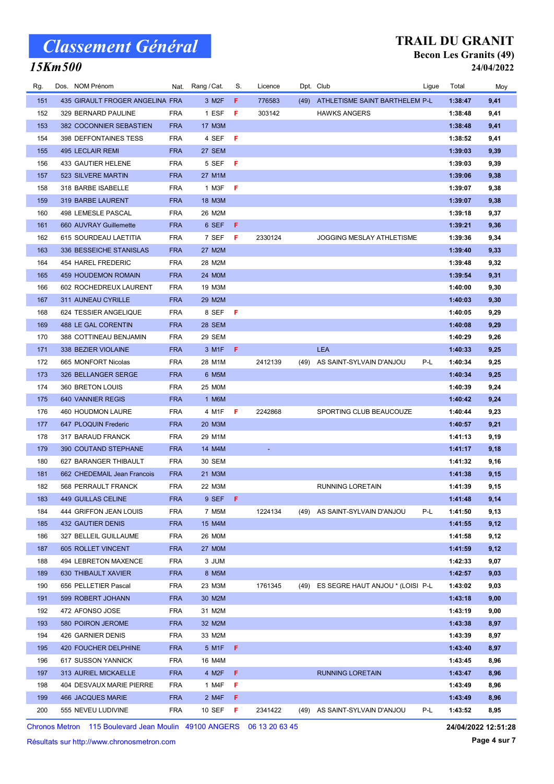### 15Km500

#### TRAIL DU GRANIT Becon Les Granits (49) 24/04/2022

| Rg. | Dos. NOM Prénom                 | Nat.       | Rang / Cat.    | S. | Licence |      | Dpt. Club                             | Ligue | Total   | Moy  |
|-----|---------------------------------|------------|----------------|----|---------|------|---------------------------------------|-------|---------|------|
| 151 | 435 GIRAULT FROGER ANGELINA FRA |            | 3 M2F          | F. | 776583  | (49) | ATHLETISME SAINT BARTHELEM P-L        |       | 1:38:47 | 9,41 |
| 152 | 329 BERNARD PAULINE             | <b>FRA</b> | 1 ESF          | F  | 303142  |      | <b>HAWKS ANGERS</b>                   |       | 1:38:48 | 9,41 |
| 153 | 382 COCONNIER SEBASTIEN         | <b>FRA</b> | 17 M3M         |    |         |      |                                       |       | 1:38:48 | 9,41 |
| 154 | <b>398 DEFFONTAINES TESS</b>    | <b>FRA</b> | 4 SEF          | F  |         |      |                                       |       | 1:38:52 | 9,41 |
| 155 | 495 LECLAIR REMI                | <b>FRA</b> | 27 SEM         |    |         |      |                                       |       | 1:39:03 | 9,39 |
| 156 | 433 GAUTIER HELENE              | <b>FRA</b> | 5 SEF          | F  |         |      |                                       |       | 1:39:03 | 9,39 |
| 157 | 523 SILVERE MARTIN              | <b>FRA</b> | 27 M1M         |    |         |      |                                       |       | 1:39:06 | 9,38 |
| 158 | 318 BARBE ISABELLE              | <b>FRA</b> | 1 M3F          | F  |         |      |                                       |       | 1:39:07 | 9,38 |
| 159 | 319 BARBE LAURENT               | <b>FRA</b> | 18 M3M         |    |         |      |                                       |       | 1:39:07 | 9,38 |
| 160 | 498 LEMESLE PASCAL              | <b>FRA</b> | 26 M2M         |    |         |      |                                       |       | 1:39:18 | 9,37 |
| 161 | 660 AUVRAY Guillemette          | <b>FRA</b> | 6 SEF          | F  |         |      |                                       |       | 1:39:21 | 9,36 |
| 162 | 615 SOURDEAU LAETITIA           | <b>FRA</b> | 7 SEF          | F  | 2330124 |      | <b>JOGGING MESLAY ATHLETISME</b>      |       | 1:39:36 | 9,34 |
| 163 | 336 BESSEICHE STANISLAS         | <b>FRA</b> | 27 M2M         |    |         |      |                                       |       | 1:39:40 | 9,33 |
| 164 | 454 HAREL FREDERIC              | <b>FRA</b> | 28 M2M         |    |         |      |                                       |       | 1:39:48 | 9,32 |
| 165 | <b>459 HOUDEMON ROMAIN</b>      | <b>FRA</b> | 24 M0M         |    |         |      |                                       |       | 1:39:54 | 9,31 |
| 166 | 602 ROCHEDREUX LAURENT          | <b>FRA</b> | 19 M3M         |    |         |      |                                       |       | 1:40:00 | 9,30 |
| 167 | 311 AUNEAU CYRILLE              | <b>FRA</b> | 29 M2M         |    |         |      |                                       |       | 1:40:03 | 9,30 |
| 168 | 624 TESSIER ANGELIQUE           | <b>FRA</b> | 8 SEF          | -F |         |      |                                       |       | 1:40:05 | 9,29 |
| 169 | 488 LE GAL CORENTIN             | <b>FRA</b> | 28 SEM         |    |         |      |                                       |       | 1:40:08 | 9,29 |
| 170 | 388 COTTINEAU BENJAMIN          | <b>FRA</b> | 29 SEM         |    |         |      |                                       |       | 1:40:29 | 9,26 |
| 171 | 338 BEZIER VIOLAINE             | <b>FRA</b> | 3 M1F          | F. |         |      | <b>LEA</b>                            |       | 1:40:33 | 9,25 |
| 172 | 665 MONFORT Nicolas             | <b>FRA</b> | 28 M1M         |    | 2412139 | (49) | AS SAINT-SYLVAIN D'ANJOU              | P-L   | 1:40:34 | 9,25 |
| 173 | 326 BELLANGER SERGE             | <b>FRA</b> | 6 M5M          |    |         |      |                                       |       | 1:40:34 | 9,25 |
| 174 | 360 BRETON LOUIS                | <b>FRA</b> | 25 M0M         |    |         |      |                                       |       | 1:40:39 | 9,24 |
| 175 | 640 VANNIER REGIS               | <b>FRA</b> | 1 M6M          |    |         |      |                                       |       | 1:40:42 | 9,24 |
| 176 | 460 HOUDMON LAURE               | <b>FRA</b> | 4 M1F          | F. | 2242868 |      | SPORTING CLUB BEAUCOUZE               |       | 1:40:44 | 9,23 |
| 177 | 647 PLOQUIN Frederic            | <b>FRA</b> | 20 M3M         |    |         |      |                                       |       | 1:40:57 | 9,21 |
| 178 | 317 BARAUD FRANCK               | <b>FRA</b> | 29 M1M         |    |         |      |                                       |       | 1:41:13 | 9,19 |
| 179 | 390 COUTAND STEPHANE            | <b>FRA</b> | 14 M4M         |    |         |      |                                       |       | 1:41:17 | 9,18 |
| 180 | 627 BARANGER THIBAULT           | <b>FRA</b> | 30 SEM         |    |         |      |                                       |       | 1:41:32 | 9,16 |
| 181 | 662 CHEDEMAIL Jean Francois     | <b>FRA</b> | 21 M3M         |    |         |      |                                       |       | 1:41:38 | 9,15 |
| 182 | 568 PERRAULT FRANCK             | <b>FRA</b> | 22 M3M         |    |         |      | <b>RUNNING LORETAIN</b>               |       | 1:41:39 | 9,15 |
| 183 | 449 GUILLAS CELINE              | <b>FRA</b> | 9 SEF F        |    |         |      |                                       |       | 1:41:48 | 9,14 |
| 184 | 444 GRIFFON JEAN LOUIS          | <b>FRA</b> | 7 M5M          |    | 1224134 |      | (49) AS SAINT-SYLVAIN D'ANJOU         | P-L   | 1:41:50 | 9,13 |
| 185 | 432 GAUTIER DENIS               | <b>FRA</b> | 15 M4M         |    |         |      |                                       |       | 1:41:55 | 9,12 |
| 186 | 327 BELLEIL GUILLAUME           | <b>FRA</b> | 26 M0M         |    |         |      |                                       |       | 1:41:58 | 9,12 |
| 187 | 605 ROLLET VINCENT              | <b>FRA</b> | <b>27 MOM</b>  |    |         |      |                                       |       | 1:41:59 | 9,12 |
| 188 | 494 LEBRETON MAXENCE            | <b>FRA</b> | 3 JUM          |    |         |      |                                       |       | 1:42:33 | 9,07 |
| 189 | 630 THIBAULT XAVIER             | <b>FRA</b> | 8 M5M          |    |         |      |                                       |       | 1:42:57 | 9,03 |
| 190 | 656 PELLETIER Pascal            | <b>FRA</b> | 23 M3M         |    | 1761345 |      | (49) ES SEGRE HAUT ANJOU * (LOISI P-L |       | 1:43:02 | 9,03 |
| 191 | 599 ROBERT JOHANN               | <b>FRA</b> | 30 M2M         |    |         |      |                                       |       | 1:43:18 | 9,00 |
| 192 | 472 AFONSO JOSE                 | <b>FRA</b> | 31 M2M         |    |         |      |                                       |       | 1:43:19 | 9,00 |
| 193 | 580 POIRON JEROME               | <b>FRA</b> | 32 M2M         |    |         |      |                                       |       | 1:43:38 | 8,97 |
| 194 | 426 GARNIER DENIS               | <b>FRA</b> | 33 M2M         |    |         |      |                                       |       | 1:43:39 | 8,97 |
| 195 | 420 FOUCHER DELPHINE            | <b>FRA</b> | 5 M1F <b>F</b> |    |         |      |                                       |       | 1:43:40 | 8,97 |
| 196 | 617 SUSSON YANNICK              | <b>FRA</b> | 16 M4M         |    |         |      |                                       |       | 1:43:45 | 8,96 |
| 197 | 313 AURIEL MICKAELLE            | <b>FRA</b> | 4 M2F          | -F |         |      | <b>RUNNING LORETAIN</b>               |       | 1:43:47 | 8,96 |
| 198 | 404 DESVAUX MARIE PIERRE        | <b>FRA</b> | 1 M4F          | F. |         |      |                                       |       | 1:43:49 | 8,96 |
| 199 | 466 JACQUES MARIE               | <b>FRA</b> | 2 M4F          | F. |         |      |                                       |       | 1:43:49 | 8,96 |
| 200 | 555 NEVEU LUDIVINE              | <b>FRA</b> | 10 SEF         | F. | 2341422 | (49) | AS SAINT-SYLVAIN D'ANJOU              | P-L   | 1:43:52 | 8,95 |
|     |                                 |            |                |    |         |      |                                       |       |         |      |

Chronos Metron 115 Boulevard Jean Moulin 49100 ANGERS 06 13 20 63 45

Résultats sur http://www.chronosmetron.com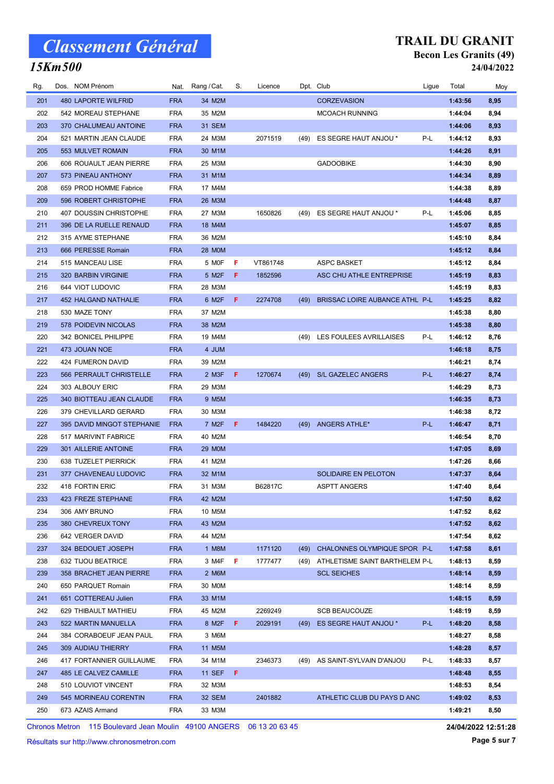### 15Km500

#### TRAIL DU GRANIT Becon Les Granits (49) 24/04/2022

| Rg. | Dos. NOM Prénom            | Nat.       | Rang / Cat.        | S.  | Licence  |      | Dpt. Club                      | Ligue | Total   | Moy  |
|-----|----------------------------|------------|--------------------|-----|----------|------|--------------------------------|-------|---------|------|
| 201 | <b>480 LAPORTE WILFRID</b> | <b>FRA</b> | 34 M2M             |     |          |      | <b>CORZEVASION</b>             |       | 1:43:56 | 8,95 |
| 202 | 542 MOREAU STEPHANE        | <b>FRA</b> | 35 M2M             |     |          |      | <b>MCOACH RUNNING</b>          |       | 1:44:04 | 8,94 |
| 203 | 370 CHALUMEAU ANTOINE      | <b>FRA</b> | <b>31 SEM</b>      |     |          |      |                                |       | 1:44:06 | 8,93 |
| 204 | 521 MARTIN JEAN CLAUDE     | <b>FRA</b> | 24 M3M             |     | 2071519  | (49) | ES SEGRE HAUT ANJOU *          | P-L   | 1:44:12 | 8,93 |
| 205 | 553 MULVET ROMAIN          | <b>FRA</b> | 30 M1M             |     |          |      |                                |       | 1:44:26 | 8,91 |
| 206 | 606 ROUAULT JEAN PIERRE    | <b>FRA</b> | 25 M3M             |     |          |      | <b>GADOOBIKE</b>               |       | 1:44:30 | 8,90 |
| 207 | 573 PINEAU ANTHONY         | <b>FRA</b> | 31 M1M             |     |          |      |                                |       | 1:44:34 | 8,89 |
| 208 | 659 PROD HOMME Fabrice     | <b>FRA</b> | 17 M4M             |     |          |      |                                |       | 1:44:38 | 8,89 |
| 209 | 596 ROBERT CHRISTOPHE      | <b>FRA</b> | 26 M3M             |     |          |      |                                |       | 1:44:48 | 8,87 |
| 210 | 407 DOUSSIN CHRISTOPHE     | <b>FRA</b> | 27 M3M             |     | 1650826  | (49) | ES SEGRE HAUT ANJOU *          | P-L   | 1:45:06 | 8,85 |
| 211 | 396 DE LA RUELLE RENAUD    | <b>FRA</b> | 18 M4M             |     |          |      |                                |       | 1:45:07 | 8,85 |
| 212 | 315 AYME STEPHANE          | <b>FRA</b> | 36 M2M             |     |          |      |                                |       | 1:45:10 | 8,84 |
| 213 | 666 PERESSE Romain         | <b>FRA</b> | <b>28 MOM</b>      |     |          |      |                                |       | 1:45:12 | 8,84 |
| 214 | 515 MANCEAU LISE           | <b>FRA</b> | 5 MOF              | F   | VT861748 |      | <b>ASPC BASKET</b>             |       | 1:45:12 | 8,84 |
| 215 | 320 BARBIN VIRGINIE        | <b>FRA</b> | 5 M2F              | F   | 1852596  |      | ASC CHU ATHLE ENTREPRISE       |       | 1:45:19 | 8,83 |
| 216 | 644 VIOT LUDOVIC           | <b>FRA</b> | 28 M3M             |     |          |      |                                |       | 1:45:19 | 8,83 |
| 217 | 452 HALGAND NATHALIE       | <b>FRA</b> | 6 M2F              | F.  | 2274708  | (49) | BRISSAC LOIRE AUBANCE ATHL P-L |       | 1:45:25 | 8,82 |
| 218 | 530 MAZE TONY              | <b>FRA</b> | 37 M2M             |     |          |      |                                |       | 1:45:38 | 8,80 |
| 219 | 578 POIDEVIN NICOLAS       | <b>FRA</b> | 38 M2M             |     |          |      |                                |       | 1:45:38 | 8,80 |
| 220 | 342 BONICEL PHILIPPE       | <b>FRA</b> | 19 M4M             |     |          | (49) | LES FOULEES AVRILLAISES        | P-L   | 1:46:12 | 8,76 |
| 221 | 473 JOUAN NOE              | <b>FRA</b> | 4 JUM              |     |          |      |                                |       | 1:46:18 | 8,75 |
| 222 | 424 FUMERON DAVID          | <b>FRA</b> | 39 M2M             |     |          |      |                                |       | 1:46:21 | 8,74 |
| 223 | 566 PERRAULT CHRISTELLE    | <b>FRA</b> | 2 M3F              | F.  | 1270674  | (49) | <b>S/L GAZELEC ANGERS</b>      | P-L   | 1:46:27 | 8,74 |
| 224 | 303 ALBOUY ERIC            | <b>FRA</b> | 29 M3M             |     |          |      |                                |       | 1:46:29 | 8,73 |
| 225 | 340 BIOTTEAU JEAN CLAUDE   | <b>FRA</b> | 9 M5M              |     |          |      |                                |       | 1:46:35 | 8,73 |
| 226 | 379 CHEVILLARD GERARD      | <b>FRA</b> | 30 M3M             |     |          |      |                                |       | 1:46:38 | 8,72 |
| 227 | 395 DAVID MINGOT STEPHANIE | <b>FRA</b> | 7 M <sub>2</sub> F | F.  | 1484220  | (49) | ANGERS ATHLE*                  | P-L   | 1:46:47 | 8,71 |
| 228 | 517 MARIVINT FABRICE       | <b>FRA</b> | 40 M2M             |     |          |      |                                |       | 1:46:54 | 8,70 |
| 229 | 301 AILLERIE ANTOINE       | <b>FRA</b> | <b>29 MOM</b>      |     |          |      |                                |       | 1:47:05 | 8,69 |
| 230 | 638 TUZELET PIERRICK       | <b>FRA</b> | 41 M2M             |     |          |      |                                |       | 1:47:26 | 8,66 |
| 231 | 377 CHAVENEAU LUDOVIC      | <b>FRA</b> | 32 M1M             |     |          |      | SOLIDAIRE EN PELOTON           |       | 1:47:37 | 8,64 |
| 232 | 418 FORTIN ERIC            | <b>FRA</b> | 31 M3M             |     | B62817C  |      | <b>ASPTT ANGERS</b>            |       | 1:47:40 | 8,64 |
| 233 | 423 FREZE STEPHANE         | <b>FRA</b> | 42 M2M             |     |          |      |                                |       | 1:47:50 | 8,62 |
| 234 | 306 AMY BRUNO              | <b>FRA</b> | 10 M5M             |     |          |      |                                |       | 1:47:52 | 8,62 |
| 235 | 380 CHEVREUX TONY          | <b>FRA</b> | 43 M2M             |     |          |      |                                |       | 1:47:52 | 8,62 |
| 236 | 642 VERGER DAVID           | <b>FRA</b> | 44 M2M             |     |          |      |                                |       | 1:47:54 | 8,62 |
| 237 | 324 BEDOUET JOSEPH         | <b>FRA</b> | 1 M8M              |     | 1171120  | (49) | CHALONNES OLYMPIQUE SPOR P-L   |       | 1:47:58 | 8,61 |
| 238 | 632 TIJOU BEATRICE         | <b>FRA</b> | 3 M4F              | -F. | 1777477  | (49) | ATHLETISME SAINT BARTHELEM P-L |       | 1:48:13 | 8,59 |
| 239 | 358 BRACHET JEAN PIERRE    | <b>FRA</b> | 2 M6M              |     |          |      | <b>SCL SEICHES</b>             |       | 1:48:14 | 8,59 |
| 240 | 650 PARQUET Romain         | <b>FRA</b> | 30 M0M             |     |          |      |                                |       | 1:48:14 | 8,59 |
| 241 | 651 COTTEREAU Julien       | <b>FRA</b> | 33 M1M             |     |          |      |                                |       | 1:48:15 | 8,59 |
| 242 | 629 THIBAULT MATHIEU       | <b>FRA</b> | 45 M2M             |     | 2269249  |      | <b>SCB BEAUCOUZE</b>           |       | 1:48:19 | 8,59 |
| 243 | 522 MARTIN MANUELLA        | <b>FRA</b> | 8 M2F              | F   | 2029191  | (49) | ES SEGRE HAUT ANJOU *          | P-L   | 1:48:20 | 8,58 |
| 244 | 384 CORABOEUF JEAN PAUL    | <b>FRA</b> | 3 M6M              |     |          |      |                                |       | 1:48:27 | 8,58 |
| 245 | 309 AUDIAU THIERRY         | <b>FRA</b> | 11 M5M             |     |          |      |                                |       | 1:48:28 | 8,57 |
| 246 | 417 FORTANNIER GUILLAUME   | <b>FRA</b> | 34 M1M             |     | 2346373  | (49) | AS SAINT-SYLVAIN D'ANJOU       | P-L   | 1:48:33 | 8,57 |
| 247 | 485 LE CALVEZ CAMILLE      | <b>FRA</b> | 11 SEF $F$         |     |          |      |                                |       | 1:48:48 | 8,55 |
| 248 | 510 LOUVIOT VINCENT        | <b>FRA</b> | 32 M3M             |     |          |      |                                |       | 1:48:53 | 8,54 |
| 249 | 545 MORINEAU CORENTIN      | <b>FRA</b> | 32 SEM             |     | 2401882  |      | ATHLETIC CLUB DU PAYS D ANC    |       | 1:49:02 | 8,53 |
| 250 | 673 AZAIS Armand           | <b>FRA</b> | 33 M3M             |     |          |      |                                |       | 1:49:21 | 8,50 |

Chronos Metron 115 Boulevard Jean Moulin 49100 ANGERS 06 13 20 63 45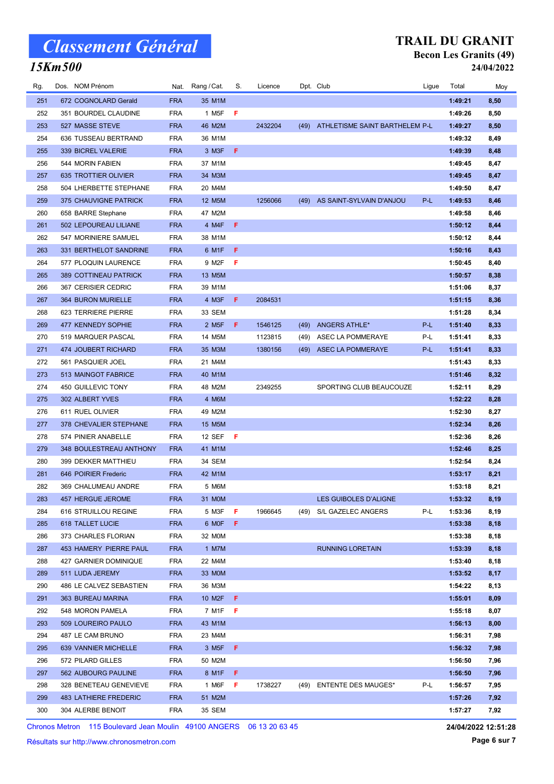### 15Km500

#### TRAIL DU GRANIT Becon Les Granits (49) 24/04/2022

| Rg. | Dos. NOM Prénom            | Nat.       | Rang / Cat.        | S.           | Licence |      | Dpt. Club                           | Ligue | Total   | Moy  |
|-----|----------------------------|------------|--------------------|--------------|---------|------|-------------------------------------|-------|---------|------|
| 251 | 672 COGNOLARD Gerald       | <b>FRA</b> | 35 M1M             |              |         |      |                                     |       | 1:49:21 | 8,50 |
| 252 | 351 BOURDEL CLAUDINE       | <b>FRA</b> | 1 M <sub>5</sub> F | -F           |         |      |                                     |       | 1:49:26 | 8,50 |
| 253 | 527 MASSE STEVE            | <b>FRA</b> | 46 M2M             |              | 2432204 |      | (49) ATHLETISME SAINT BARTHELEM P-L |       | 1:49:27 | 8,50 |
| 254 | 636 TUSSEAU BERTRAND       | <b>FRA</b> | 36 M1M             |              |         |      |                                     |       | 1:49:32 | 8,49 |
| 255 | 339 BICREL VALERIE         | <b>FRA</b> | 3 M3F              | F.           |         |      |                                     |       | 1:49:39 | 8,48 |
| 256 | 544 MORIN FABIEN           | <b>FRA</b> | 37 M1M             |              |         |      |                                     |       | 1:49:45 | 8,47 |
| 257 | 635 TROTTIER OLIVIER       | <b>FRA</b> | 34 M3M             |              |         |      |                                     |       | 1:49:45 | 8,47 |
| 258 | 504 LHERBETTE STEPHANE     | <b>FRA</b> | 20 M4M             |              |         |      |                                     |       | 1:49:50 | 8,47 |
| 259 | 375 CHAUVIGNE PATRICK      | <b>FRA</b> | 12 M5M             |              | 1256066 | (49) | AS SAINT-SYLVAIN D'ANJOU            | P-L   | 1:49:53 | 8,46 |
| 260 | 658 BARRE Stephane         | <b>FRA</b> | 47 M2M             |              |         |      |                                     |       | 1:49:58 | 8,46 |
| 261 | 502 LEPOUREAU LILIANE      | <b>FRA</b> | 4 M4F              | $\mathsf{F}$ |         |      |                                     |       | 1:50:12 | 8,44 |
| 262 | 547 MORINIERE SAMUEL       | <b>FRA</b> | 38 M1M             |              |         |      |                                     |       | 1:50:12 | 8,44 |
| 263 | 331 BERTHELOT SANDRINE     | <b>FRA</b> | 6 M1F              | F            |         |      |                                     |       | 1:50:16 | 8,43 |
| 264 | 577 PLOQUIN LAURENCE       | <b>FRA</b> | 9 M2F              | F            |         |      |                                     |       | 1:50:45 | 8,40 |
| 265 | 389 COTTINEAU PATRICK      | <b>FRA</b> | 13 M5M             |              |         |      |                                     |       | 1:50:57 | 8,38 |
| 266 | 367 CERISIER CEDRIC        | <b>FRA</b> | 39 M1M             |              |         |      |                                     |       | 1:51:06 | 8,37 |
| 267 | 364 BURON MURIELLE         | <b>FRA</b> | 4 M3F              | -F.          | 2084531 |      |                                     |       | 1:51:15 | 8,36 |
| 268 | 623 TERRIERE PIERRE        | <b>FRA</b> | 33 SEM             |              |         |      |                                     |       | 1:51:28 | 8,34 |
| 269 | 477 KENNEDY SOPHIE         | <b>FRA</b> | 2 M <sub>5</sub> F | F            | 1546125 | (49) | <b>ANGERS ATHLE*</b>                | P-L   | 1:51:40 | 8,33 |
| 270 | 519 MARQUER PASCAL         | <b>FRA</b> | 14 M5M             |              | 1123815 | (49) | ASEC LA POMMERAYE                   | P-L   | 1:51:41 | 8,33 |
| 271 | <b>474 JOUBERT RICHARD</b> | <b>FRA</b> | 35 M3M             |              | 1380156 | (49) | <b>ASEC LA POMMERAYE</b>            | P-L   | 1:51:41 | 8,33 |
| 272 | 561 PASQUIER JOEL          | <b>FRA</b> | 21 M4M             |              |         |      |                                     |       | 1:51:43 | 8,33 |
| 273 | 513 MAINGOT FABRICE        | <b>FRA</b> | 40 M1M             |              |         |      |                                     |       | 1:51:46 | 8,32 |
| 274 | 450 GUILLEVIC TONY         | <b>FRA</b> | 48 M2M             |              | 2349255 |      | SPORTING CLUB BEAUCOUZE             |       | 1:52:11 | 8,29 |
| 275 | 302 ALBERT YVES            | <b>FRA</b> | 4 M6M              |              |         |      |                                     |       | 1:52:22 | 8,28 |
| 276 | 611 RUEL OLIVIER           | <b>FRA</b> | 49 M2M             |              |         |      |                                     |       | 1:52:30 | 8,27 |
| 277 | 378 CHEVALIER STEPHANE     | <b>FRA</b> | 15 M5M             |              |         |      |                                     |       | 1:52:34 | 8,26 |
| 278 | 574 PINIER ANABELLE        | <b>FRA</b> | 12 SEF             | - F          |         |      |                                     |       | 1:52:36 | 8,26 |
| 279 | 348 BOULESTREAU ANTHONY    | <b>FRA</b> | 41 M1M             |              |         |      |                                     |       | 1:52:46 | 8,25 |
| 280 | 399 DEKKER MATTHIEU        | <b>FRA</b> | 34 SEM             |              |         |      |                                     |       | 1:52:54 | 8,24 |
| 281 | 646 POIRIER Frederic       | <b>FRA</b> | 42 M1M             |              |         |      |                                     |       | 1:53:17 | 8,21 |
| 282 | 369 CHALUMEAU ANDRE        | <b>FRA</b> | 5 M6M              |              |         |      |                                     |       | 1:53:18 | 8,21 |
| 283 | 457 HERGUE JEROME          | <b>FRA</b> | 31 MOM             |              |         |      | LES GUIBOLES D'ALIGNE               |       | 1:53:32 | 8,19 |
| 284 | 616 STRUILLOU REGINE       | <b>FRA</b> | 5 M3F              | F            | 1966645 | (49) | S/L GAZELEC ANGERS                  | P-L   | 1:53:36 | 8,19 |
| 285 | <b>618 TALLET LUCIE</b>    | <b>FRA</b> | 6 MOF              | -F           |         |      |                                     |       | 1:53:38 | 8,18 |
| 286 | 373 CHARLES FLORIAN        | <b>FRA</b> | 32 M0M             |              |         |      |                                     |       | 1:53:38 | 8,18 |
| 287 | 453 HAMERY PIERRE PAUL     | <b>FRA</b> | 1 M7M              |              |         |      | <b>RUNNING LORETAIN</b>             |       | 1:53:39 | 8,18 |
| 288 | 427 GARNIER DOMINIQUE      | <b>FRA</b> | 22 M4M             |              |         |      |                                     |       | 1:53:40 | 8,18 |
| 289 | 511 LUDA JEREMY            | <b>FRA</b> | 33 M0M             |              |         |      |                                     |       | 1:53:52 | 8,17 |
| 290 | 486 LE CALVEZ SEBASTIEN    | <b>FRA</b> | 36 M3M             |              |         |      |                                     |       | 1:54:22 | 8,13 |
| 291 | 363 BUREAU MARINA          | <b>FRA</b> | 10 M2F             | - F          |         |      |                                     |       | 1:55:01 | 8,09 |
| 292 | 548 MORON PAMELA           | <b>FRA</b> | 7 M1F              | - F          |         |      |                                     |       | 1:55:18 | 8,07 |
| 293 | 509 LOUREIRO PAULO         | <b>FRA</b> | 43 M1M             |              |         |      |                                     |       | 1:56:13 | 8,00 |
| 294 | 487 LE CAM BRUNO           | <b>FRA</b> | 23 M4M             |              |         |      |                                     |       | 1:56:31 | 7,98 |
| 295 | 639 VANNIER MICHELLE       | <b>FRA</b> | 3 M <sub>5</sub> F | F.           |         |      |                                     |       | 1:56:32 | 7,98 |
| 296 | 572 PILARD GILLES          | <b>FRA</b> | 50 M2M             |              |         |      |                                     |       | 1:56:50 | 7,96 |
| 297 | 562 AUBOURG PAULINE        | <b>FRA</b> | 8 M1F              | -F           |         |      |                                     |       | 1:56:50 | 7,96 |
| 298 | 328 BENETEAU GENEVIEVE     | <b>FRA</b> | 1 M6F              | -F           | 1738227 | (49) | <b>ENTENTE DES MAUGES*</b>          | P-L   | 1:56:57 | 7,95 |
| 299 | 483 LATHIERE FREDERIC      | <b>FRA</b> | 51 M2M             |              |         |      |                                     |       | 1:57:26 | 7,92 |
| 300 | 304 ALERBE BENOIT          | <b>FRA</b> | 35 SEM             |              |         |      |                                     |       | 1:57:27 | 7,92 |

Chronos Metron 115 Boulevard Jean Moulin 49100 ANGERS 06 13 20 63 45